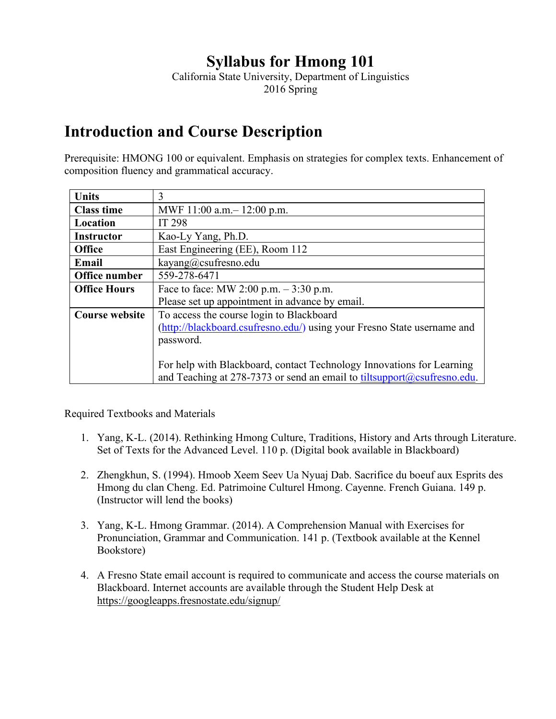## **Syllabus for Hmong 101**

California State University, Department of Linguistics 2016 Spring

## **Introduction and Course Description**

Prerequisite: HMONG 100 or equivalent. Emphasis on strategies for complex texts. Enhancement of composition fluency and grammatical accuracy.

| <b>Units</b>          | 3                                                                       |  |  |
|-----------------------|-------------------------------------------------------------------------|--|--|
| <b>Class time</b>     | MWF 11:00 a.m. – 12:00 p.m.                                             |  |  |
| Location              | IT 298                                                                  |  |  |
| <b>Instructor</b>     | Kao-Ly Yang, Ph.D.                                                      |  |  |
| <b>Office</b>         | East Engineering (EE), Room 112                                         |  |  |
| Email                 | kayang@csufresno.edu                                                    |  |  |
| Office number         | 559-278-6471                                                            |  |  |
| <b>Office Hours</b>   | Face to face: MW 2:00 p.m. $-3:30$ p.m.                                 |  |  |
|                       | Please set up appointment in advance by email.                          |  |  |
| <b>Course website</b> | To access the course login to Blackboard                                |  |  |
|                       | (http://blackboard.csufresno.edu/) using your Fresno State username and |  |  |
|                       | password.                                                               |  |  |
|                       |                                                                         |  |  |
|                       | For help with Blackboard, contact Technology Innovations for Learning   |  |  |
|                       | and Teaching at 278-7373 or send an email to tiltsupport@csufresno.edu. |  |  |

Required Textbooks and Materials

- 1. Yang, K-L. (2014). Rethinking Hmong Culture, Traditions, History and Arts through Literature. Set of Texts for the Advanced Level. 110 p. (Digital book available in Blackboard)
- 2. Zhengkhun, S. (1994). Hmoob Xeem Seev Ua Nyuaj Dab. Sacrifice du boeuf aux Esprits des Hmong du clan Cheng. Ed. Patrimoine Culturel Hmong. Cayenne. French Guiana. 149 p. (Instructor will lend the books)
- 3. Yang, K-L. Hmong Grammar. (2014). A Comprehension Manual with Exercises for Pronunciation, Grammar and Communication. 141 p. (Textbook available at the Kennel Bookstore)
- 4. A Fresno State email account is required to communicate and access the course materials on Blackboard. Internet accounts are available through the Student Help Desk at <https://googleapps.fresnostate.edu/signup/>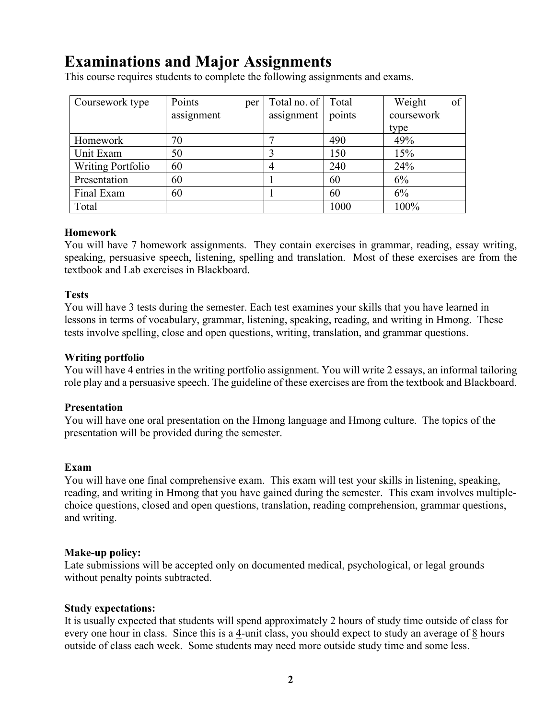## **Examinations and Major Assignments**

This course requires students to complete the following assignments and exams.

| Coursework type          | Points     | per | Total no. of | Total  | Weight     | of |
|--------------------------|------------|-----|--------------|--------|------------|----|
|                          | assignment |     | assignment   | points | coursework |    |
|                          |            |     |              |        | type       |    |
| Homework                 | 70         |     |              | 490    | 49%        |    |
| Unit Exam                | 50         |     |              | 150    | 15%        |    |
| <b>Writing Portfolio</b> | 60         |     |              | 240    | 24%        |    |
| Presentation             | 60         |     |              | 60     | 6%         |    |
| Final Exam               | 60         |     |              | 60     | 6%         |    |
| Total                    |            |     |              | 1000   | 100%       |    |

#### **Homework**

You will have 7 homework assignments. They contain exercises in grammar, reading, essay writing, speaking, persuasive speech, listening, spelling and translation. Most of these exercises are from the textbook and Lab exercises in Blackboard.

#### **Tests**

You will have 3 tests during the semester. Each test examines your skills that you have learned in lessons in terms of vocabulary, grammar, listening, speaking, reading, and writing in Hmong. These tests involve spelling, close and open questions, writing, translation, and grammar questions.

#### **Writing portfolio**

You will have 4 entries in the writing portfolio assignment. You will write 2 essays, an informal tailoring role play and a persuasive speech. The guideline of these exercises are from the textbook and Blackboard.

#### **Presentation**

You will have one oral presentation on the Hmong language and Hmong culture. The topics of the presentation will be provided during the semester.

#### **Exam**

You will have one final comprehensive exam. This exam will test your skills in listening, speaking, reading, and writing in Hmong that you have gained during the semester. This exam involves multiplechoice questions, closed and open questions, translation, reading comprehension, grammar questions, and writing.

#### **Make-up policy:**

Late submissions will be accepted only on documented medical, psychological, or legal grounds without penalty points subtracted.

#### **Study expectations:**

It is usually expected that students will spend approximately 2 hours of study time outside of class for every one hour in class. Since this is a 4-unit class, you should expect to study an average of 8 hours outside of class each week. Some students may need more outside study time and some less.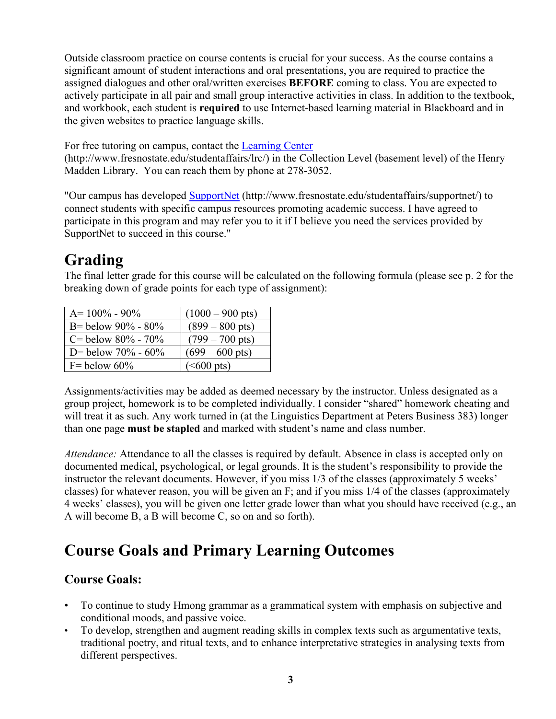Outside classroom practice on course contents is crucial for your success. As the course contains a significant amount of student interactions and oral presentations, you are required to practice the assigned dialogues and other oral/written exercises **BEFORE** coming to class. You are expected to actively participate in all pair and small group interactive activities in class. In addition to the textbook, and workbook, each student is **required** to use Internet-based learning material in Blackboard and in the given websites to practice language skills.

For free tutoring on campus, contact the [Learning Center](http://www.fresnostate.edu/learningcenter)

(http://www.fresnostate.edu/studentaffairs/lrc/) in the Collection Level (basement level) of the Henry Madden Library. You can reach them by phone at 278-3052.

"Our campus has developed [SupportNet](http://www.fresnostate.edu/studentaffairs/supportnet/) (http://www.fresnostate.edu/studentaffairs/supportnet/) to connect students with specific campus resources promoting academic success. I have agreed to participate in this program and may refer you to it if I believe you need the services provided by SupportNet to succeed in this course."

## **Grading**

The final letter grade for this course will be calculated on the following formula (please see p. 2 for the breaking down of grade points for each type of assignment):

| $A = 100\% - 90\%$        | $(1000 - 900 \text{ pts})$ |
|---------------------------|----------------------------|
| B = below $90\%$ - $80\%$ | $(899 - 800 \text{ pts})$  |
| C = below $80\%$ - $70\%$ | $(799 - 700 \text{ pts})$  |
| D = below $70\%$ - $60\%$ | $(699 - 600 \text{ pts})$  |
| $F =$ below 60%           | $(<600 \text{ pts})$       |

Assignments/activities may be added as deemed necessary by the instructor. Unless designated as a group project, homework is to be completed individually. I consider "shared" homework cheating and will treat it as such. Any work turned in (at the Linguistics Department at Peters Business 383) longer than one page **must be stapled** and marked with student's name and class number.

*Attendance:* Attendance to all the classes is required by default. Absence in class is accepted only on documented medical, psychological, or legal grounds. It is the student's responsibility to provide the instructor the relevant documents. However, if you miss 1/3 of the classes (approximately 5 weeks' classes) for whatever reason, you will be given an F; and if you miss 1/4 of the classes (approximately 4 weeks' classes), you will be given one letter grade lower than what you should have received (e.g., an A will become B, a B will become C, so on and so forth).

## **Course Goals and Primary Learning Outcomes**

### **Course Goals:**

- To continue to study Hmong grammar as a grammatical system with emphasis on subjective and conditional moods, and passive voice.
- To develop, strengthen and augment reading skills in complex texts such as argumentative texts, traditional poetry, and ritual texts, and to enhance interpretative strategies in analysing texts from different perspectives.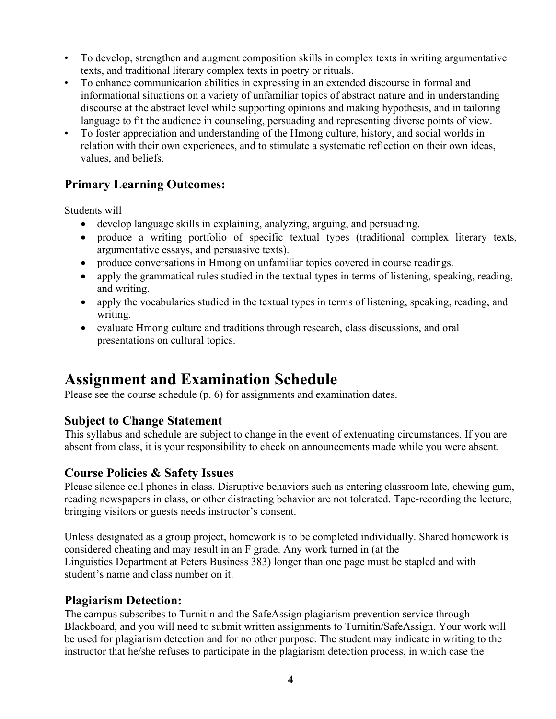- To develop, strengthen and augment composition skills in complex texts in writing argumentative texts, and traditional literary complex texts in poetry or rituals.
- To enhance communication abilities in expressing in an extended discourse in formal and informational situations on a variety of unfamiliar topics of abstract nature and in understanding discourse at the abstract level while supporting opinions and making hypothesis, and in tailoring language to fit the audience in counseling, persuading and representing diverse points of view.
- To foster appreciation and understanding of the Hmong culture, history, and social worlds in relation with their own experiences, and to stimulate a systematic reflection on their own ideas, values, and beliefs.

### **Primary Learning Outcomes:**

Students will

- develop language skills in explaining, analyzing, arguing, and persuading.
- produce a writing portfolio of specific textual types (traditional complex literary texts, argumentative essays, and persuasive texts).
- produce conversations in Hmong on unfamiliar topics covered in course readings.
- apply the grammatical rules studied in the textual types in terms of listening, speaking, reading, and writing.
- apply the vocabularies studied in the textual types in terms of listening, speaking, reading, and writing.
- evaluate Hmong culture and traditions through research, class discussions, and oral presentations on cultural topics.

## **Assignment and Examination Schedule**

Please see the course schedule (p. 6) for assignments and examination dates.

### **Subject to Change Statement**

This syllabus and schedule are subject to change in the event of extenuating circumstances. If you are absent from class, it is your responsibility to check on announcements made while you were absent.

### **Course Policies & Safety Issues**

Please silence cell phones in class. Disruptive behaviors such as entering classroom late, chewing gum, reading newspapers in class, or other distracting behavior are not tolerated. Tape-recording the lecture, bringing visitors or guests needs instructor's consent.

Unless designated as a group project, homework is to be completed individually. Shared homework is considered cheating and may result in an F grade. Any work turned in (at the Linguistics Department at Peters Business 383) longer than one page must be stapled and with student's name and class number on it.

### **Plagiarism Detection:**

The campus subscribes to Turnitin and the SafeAssign plagiarism prevention service through Blackboard, and you will need to submit written assignments to Turnitin/SafeAssign. Your work will be used for plagiarism detection and for no other purpose. The student may indicate in writing to the instructor that he/she refuses to participate in the plagiarism detection process, in which case the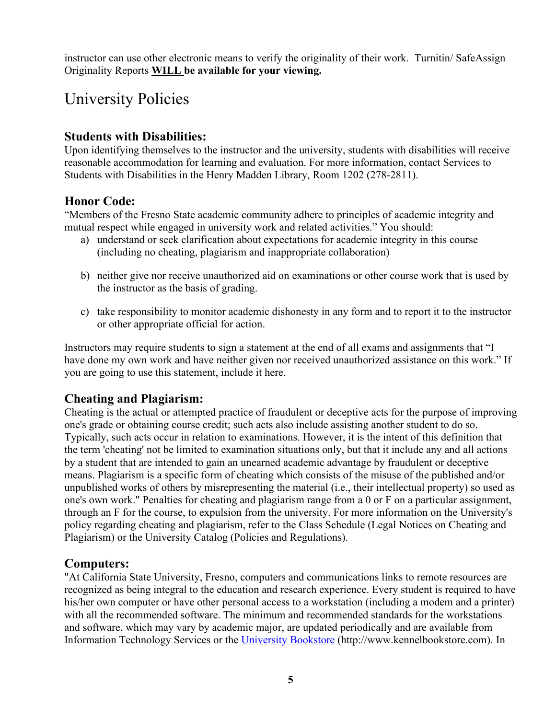instructor can use other electronic means to verify the originality of their work. Turnitin/ SafeAssign Originality Reports **WILL be available for your viewing.**

## University Policies

### **Students with Disabilities:**

Upon identifying themselves to the instructor and the university, students with disabilities will receive reasonable accommodation for learning and evaluation. For more information, contact Services to Students with Disabilities in the Henry Madden Library, Room 1202 (278-2811).

### **Honor Code:**

"Members of the Fresno State academic community adhere to principles of academic integrity and mutual respect while engaged in university work and related activities." You should:

- a) understand or seek clarification about expectations for academic integrity in this course (including no cheating, plagiarism and inappropriate collaboration)
- b) neither give nor receive unauthorized aid on examinations or other course work that is used by the instructor as the basis of grading.
- c) take responsibility to monitor academic dishonesty in any form and to report it to the instructor or other appropriate official for action.

Instructors may require students to sign a statement at the end of all exams and assignments that "I have done my own work and have neither given nor received unauthorized assistance on this work." If you are going to use this statement, include it here.

### **Cheating and Plagiarism:**

Cheating is the actual or attempted practice of fraudulent or deceptive acts for the purpose of improving one's grade or obtaining course credit; such acts also include assisting another student to do so. Typically, such acts occur in relation to examinations. However, it is the intent of this definition that the term 'cheating' not be limited to examination situations only, but that it include any and all actions by a student that are intended to gain an unearned academic advantage by fraudulent or deceptive means. Plagiarism is a specific form of cheating which consists of the misuse of the published and/or unpublished works of others by misrepresenting the material (i.e., their intellectual property) so used as one's own work." Penalties for cheating and plagiarism range from a 0 or F on a particular assignment, through an F for the course, to expulsion from the university. For more information on the University's policy regarding cheating and plagiarism, refer to the Class Schedule (Legal Notices on Cheating and Plagiarism) or the University Catalog (Policies and Regulations).

### **Computers:**

"At California State University, Fresno, computers and communications links to remote resources are recognized as being integral to the education and research experience. Every student is required to have his/her own computer or have other personal access to a workstation (including a modem and a printer) with all the recommended software. The minimum and recommended standards for the workstations and software, which may vary by academic major, are updated periodically and are available from Information Technology Services or the [University Bookstore](http://www.kennelbookstore.com/SiteText.aspx?id=20666) (http://www.kennelbookstore.com). In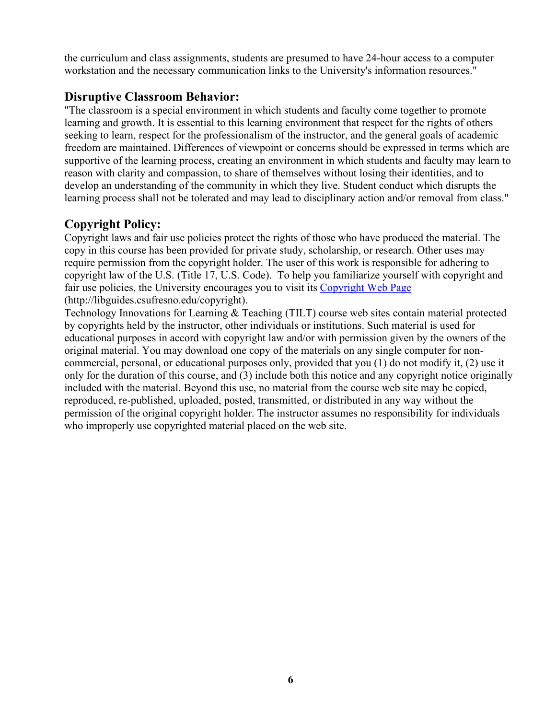the curriculum and class assignments, students are presumed to have 24-hour access to a computer workstation and the necessary communication links to the University's information resources."

### **Disruptive Classroom Behavior:**

"The classroom is a special environment in which students and faculty come together to promote learning and growth. It is essential to this learning environment that respect for the rights of others seeking to learn, respect for the professionalism of the instructor, and the general goals of academic freedom are maintained. Differences of viewpoint or concerns should be expressed in terms which are supportive of the learning process, creating an environment in which students and faculty may learn to reason with clarity and compassion, to share of themselves without losing their identities, and to develop an understanding of the community in which they live. Student conduct which disrupts the learning process shall not be tolerated and may lead to disciplinary action and/or removal from class."

### **Copyright Policy:**

Copyright laws and fair use policies protect the rights of those who have produced the material. The copy in this course has been provided for private study, scholarship, or research. Other uses may require permission from the copyright holder. The user of this work is responsible for adhering to copyright law of the U.S. (Title 17, U.S. Code). To help you familiarize yourself with copyright and fair use policies, the University encourages you to visit its [Copyright Web Page](http://libguides.csufresno.edu/copyright)  [\(http://libguides.csufresno.edu/copyright\).](http://libguides.csufresno.edu/copyright)

Technology Innovations for Learning & Teaching (TILT) course web sites contain material protected by copyrights held by the instructor, other individuals or institutions. Such material is used for educational purposes in accord with copyright law and/or with permission given by the owners of the original material. You may download one copy of the materials on any single computer for noncommercial, personal, or educational purposes only, provided that you (1) do not modify it, (2) use it only for the duration of this course, and (3) include both this notice and any copyright notice originally included with the material. Beyond this use, no material from the course web site may be copied, reproduced, re-published, uploaded, posted, transmitted, or distributed in any way without the permission of the original copyright holder. The instructor assumes no responsibility for individuals who improperly use copyrighted material placed on the web site.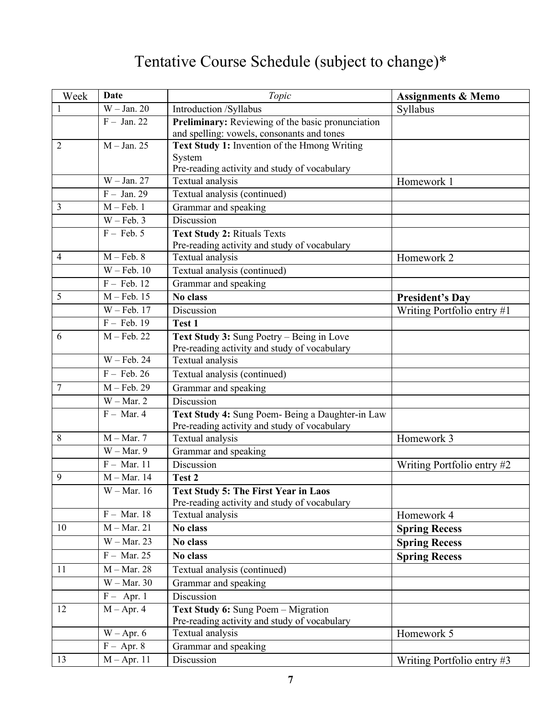# Tentative Course Schedule (subject to change)\*

| Week           | Date          | Topic                                                            | <b>Assignments &amp; Memo</b> |
|----------------|---------------|------------------------------------------------------------------|-------------------------------|
| 1              | $W - Jan. 20$ | Introduction /Syllabus                                           | Syllabus                      |
|                | $F - Jan. 22$ | Preliminary: Reviewing of the basic pronunciation                |                               |
|                |               | and spelling: vowels, consonants and tones                       |                               |
| 2              | $M - Jan. 25$ | Text Study 1: Invention of the Hmong Writing                     |                               |
|                |               | System                                                           |                               |
|                | $W - Jan. 27$ | Pre-reading activity and study of vocabulary<br>Textual analysis | Homework 1                    |
|                | $F - Jan. 29$ | Textual analysis (continued)                                     |                               |
| 3              | $M - Feb. 1$  | Grammar and speaking                                             |                               |
|                | $W - Feb. 3$  | Discussion                                                       |                               |
|                | $F - Feb. 5$  | <b>Text Study 2: Rituals Texts</b>                               |                               |
|                |               | Pre-reading activity and study of vocabulary                     |                               |
| $\overline{4}$ | $M - Feb. 8$  | Textual analysis                                                 | Homework 2                    |
|                | $W - Feb. 10$ | Textual analysis (continued)                                     |                               |
|                | $F - Feb. 12$ | Grammar and speaking                                             |                               |
| 5              | $M - Feb. 15$ | <b>No class</b>                                                  | <b>President's Day</b>        |
|                | $W - Feb. 17$ | Discussion                                                       | Writing Portfolio entry #1    |
|                | $F - Feb. 19$ | Test 1                                                           |                               |
| 6              | $M - Feb. 22$ | Text Study 3: Sung Poetry – Being in Love                        |                               |
|                |               | Pre-reading activity and study of vocabulary                     |                               |
|                | $W - Feb. 24$ | Textual analysis                                                 |                               |
|                | $F - Feb. 26$ | Textual analysis (continued)                                     |                               |
| 7              | $M - Feb. 29$ | Grammar and speaking                                             |                               |
|                | $W - Mar. 2$  | Discussion                                                       |                               |
|                | $F - Mar. 4$  | Text Study 4: Sung Poem- Being a Daughter-in Law                 |                               |
| 8              | $M - Mar. 7$  | Pre-reading activity and study of vocabulary<br>Textual analysis | Homework 3                    |
|                | $W - Mar. 9$  | Grammar and speaking                                             |                               |
|                | $F - Mar. 11$ | Discussion                                                       | Writing Portfolio entry #2    |
| 9              | $M - Mar. 14$ | Test 2                                                           |                               |
|                | $W - Mar. 16$ | <b>Text Study 5: The First Year in Laos</b>                      |                               |
|                |               | Pre-reading activity and study of vocabulary                     |                               |
|                | $F - Mar. 18$ | Textual analysis                                                 | Homework 4                    |
| 10             | $M - Mar. 21$ | No class                                                         | <b>Spring Recess</b>          |
|                | $W - Mar. 23$ | No class                                                         | <b>Spring Recess</b>          |
|                | $F - Mar. 25$ | No class                                                         | <b>Spring Recess</b>          |
| 11             | $M - Mar. 28$ | Textual analysis (continued)                                     |                               |
|                | $W - Mar. 30$ | Grammar and speaking                                             |                               |
|                | $F -$ Apr. 1  | Discussion                                                       |                               |
| 12             | $M - Apr. 4$  | Text Study 6: Sung Poem - Migration                              |                               |
|                |               | Pre-reading activity and study of vocabulary                     |                               |
|                | $W - Apr. 6$  | Textual analysis                                                 | Homework 5                    |
|                | $F - Apr. 8$  | Grammar and speaking                                             |                               |
| 13             | $M - Apr. 11$ | Discussion                                                       | Writing Portfolio entry #3    |